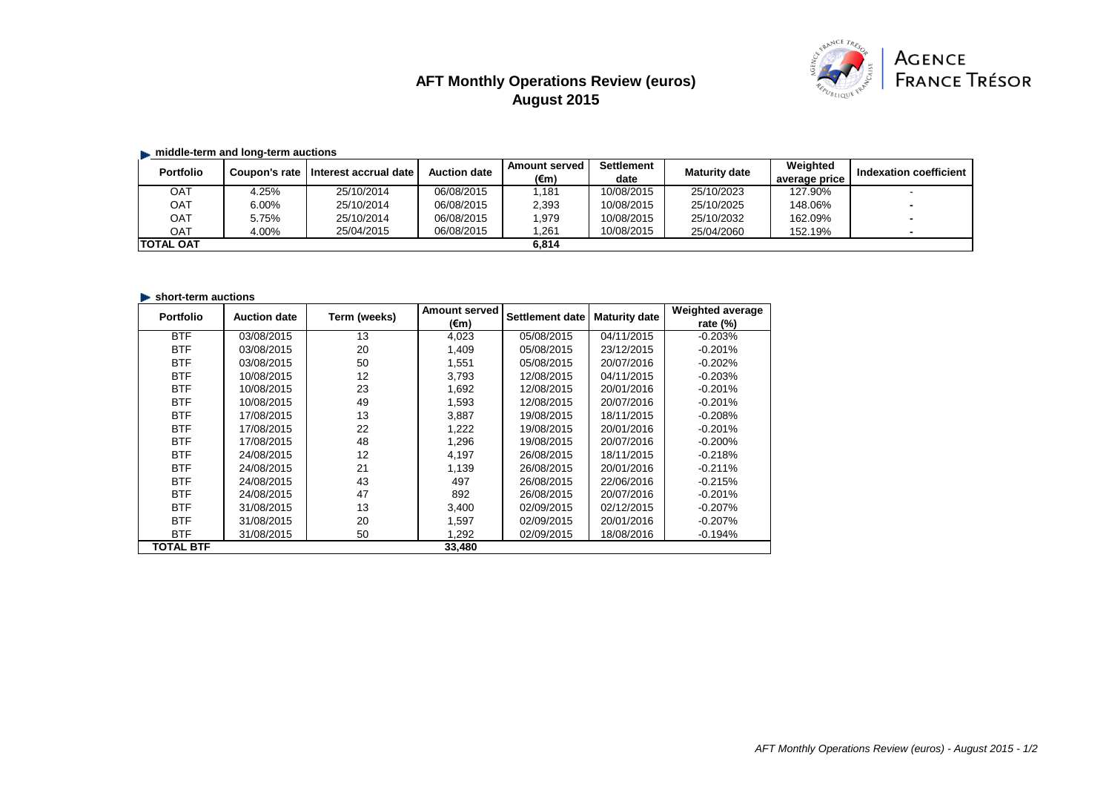# **AFT Monthly Operations Review (euros) August 2015**



### **middle-term and long-term auctions**

| <b>Portfolio</b> |       | Coupon's rate I Interest accrual date | <b>Auction date</b> | <b>Amount served</b><br>(€m) | <b>Settlement</b><br>date | <b>Maturity date</b> | Weighted      | Indexation coefficient |
|------------------|-------|---------------------------------------|---------------------|------------------------------|---------------------------|----------------------|---------------|------------------------|
|                  |       |                                       |                     |                              |                           |                      | average price |                        |
| ОАТ              | 4.25% | 25/10/2014                            | 06/08/2015          | ,181                         | 10/08/2015                | 25/10/2023           | 127.90%       |                        |
| <b>OAT</b>       | 6.00% | 25/10/2014                            | 06/08/2015          | 2,393                        | 10/08/2015                | 25/10/2025           | 148.06%       |                        |
| <b>OAT</b>       | 5.75% | 25/10/2014                            | 06/08/2015          | ,979                         | 10/08/2015                | 25/10/2032           | 162.09%       | $\sim$                 |
| OAT              | 4.00% | 25/04/2015                            | 06/08/2015          | ,261                         | 10/08/2015                | 25/04/2060           | 152.19%       |                        |
| <b>TOTAL OAT</b> |       |                                       |                     | 6,814                        |                           |                      |               |                        |

#### **short-term auctions**

| <b>Portfolio</b> | <b>Auction date</b> | Term (weeks) | <b>Amount served</b> | <b>Settlement date</b> | <b>Maturity date</b> | <b>Weighted average</b> |
|------------------|---------------------|--------------|----------------------|------------------------|----------------------|-------------------------|
|                  |                     |              | $(\epsilon m)$       |                        |                      | rate $(\%)$             |
| <b>BTF</b>       | 03/08/2015          | 13           | 4,023                | 05/08/2015             | 04/11/2015           | $-0.203%$               |
| <b>BTF</b>       | 03/08/2015          | 20           | 1,409                | 05/08/2015             | 23/12/2015           | $-0.201%$               |
| <b>BTF</b>       | 03/08/2015          | 50           | 1,551                | 05/08/2015             | 20/07/2016           | $-0.202%$               |
| <b>BTF</b>       | 10/08/2015          | 12           | 3,793                | 12/08/2015             | 04/11/2015           | $-0.203%$               |
| <b>BTF</b>       | 10/08/2015          | 23           | 1,692                | 12/08/2015             | 20/01/2016           | $-0.201%$               |
| <b>BTF</b>       | 10/08/2015          | 49           | 1,593                | 12/08/2015             | 20/07/2016           | $-0.201%$               |
| <b>BTF</b>       | 17/08/2015          | 13           | 3,887                | 19/08/2015             | 18/11/2015           | $-0.208%$               |
| <b>BTF</b>       | 17/08/2015          | 22           | 1,222                | 19/08/2015             | 20/01/2016           | $-0.201%$               |
| <b>BTF</b>       | 17/08/2015          | 48           | 1,296                | 19/08/2015             | 20/07/2016           | $-0.200%$               |
| <b>BTF</b>       | 24/08/2015          | 12           | 4,197                | 26/08/2015             | 18/11/2015           | $-0.218%$               |
| <b>BTF</b>       | 24/08/2015          | 21           | 1,139                | 26/08/2015             | 20/01/2016           | $-0.211%$               |
| <b>BTF</b>       | 24/08/2015          | 43           | 497                  | 26/08/2015             | 22/06/2016           | $-0.215%$               |
| <b>BTF</b>       | 24/08/2015          | 47           | 892                  | 26/08/2015             | 20/07/2016           | $-0.201%$               |
| <b>BTF</b>       | 31/08/2015          | 13           | 3,400                | 02/09/2015             | 02/12/2015           | $-0.207%$               |
| <b>BTF</b>       | 31/08/2015          | 20           | 1,597                | 02/09/2015             | 20/01/2016           | $-0.207%$               |
| <b>BTF</b>       | 31/08/2015          | 50           | 1,292                | 02/09/2015             | 18/08/2016           | $-0.194%$               |
| <b>TOTAL BTF</b> |                     |              | 33,480               |                        |                      |                         |